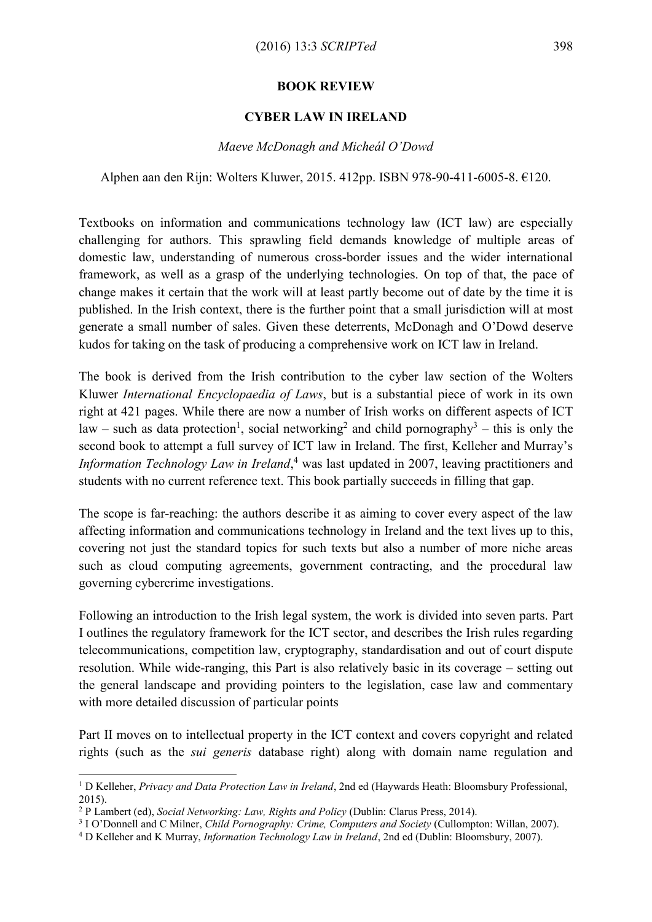## **BOOK REVIEW**

## **CYBER LAW IN IRELAND**

## *Maeve McDonagh and Micheál O'Dowd*

Alphen aan den Rijn: Wolters Kluwer, 2015. 412pp. ISBN 978-90-411-6005-8. €120.

Textbooks on information and communications technology law (ICT law) are especially challenging for authors. This sprawling field demands knowledge of multiple areas of domestic law, understanding of numerous cross-border issues and the wider international framework, as well as a grasp of the underlying technologies. On top of that, the pace of change makes it certain that the work will at least partly become out of date by the time it is published. In the Irish context, there is the further point that a small jurisdiction will at most generate a small number of sales. Given these deterrents, McDonagh and O'Dowd deserve kudos for taking on the task of producing a comprehensive work on ICT law in Ireland.

The book is derived from the Irish contribution to the cyber law section of the Wolters Kluwer *International Encyclopaedia of Laws*, but is a substantial piece of work in its own right at 421 pages. While there are now a number of Irish works on different aspects of ICT law – such as data protection<sup>1</sup>, social networking<sup>2</sup> and child pornography<sup>3</sup> – this is only the second book to attempt a full survey of ICT law in Ireland. The first, Kelleher and Murray's *Information Technology Law in Ireland*, <sup>4</sup> was last updated in 2007, leaving practitioners and students with no current reference text. This book partially succeeds in filling that gap.

The scope is far-reaching: the authors describe it as aiming to cover every aspect of the law affecting information and communications technology in Ireland and the text lives up to this, covering not just the standard topics for such texts but also a number of more niche areas such as cloud computing agreements, government contracting, and the procedural law governing cybercrime investigations.

Following an introduction to the Irish legal system, the work is divided into seven parts. Part I outlines the regulatory framework for the ICT sector, and describes the Irish rules regarding telecommunications, competition law, cryptography, standardisation and out of court dispute resolution. While wide-ranging, this Part is also relatively basic in its coverage – setting out the general landscape and providing pointers to the legislation, case law and commentary with more detailed discussion of particular points

Part II moves on to intellectual property in the ICT context and covers copyright and related rights (such as the *sui generis* database right) along with domain name regulation and

<u>.</u>

<sup>1</sup> D Kelleher, *Privacy and Data Protection Law in Ireland*, 2nd ed (Haywards Heath: Bloomsbury Professional, 2015).

<sup>2</sup> P Lambert (ed), *Social Networking: Law, Rights and Policy* (Dublin: Clarus Press, 2014).

<sup>3</sup> I O'Donnell and C Milner, *Child Pornography: Crime, Computers and Society* (Cullompton: Willan, 2007).

<sup>4</sup> D Kelleher and K Murray, *Information Technology Law in Ireland*, 2nd ed (Dublin: Bloomsbury, 2007).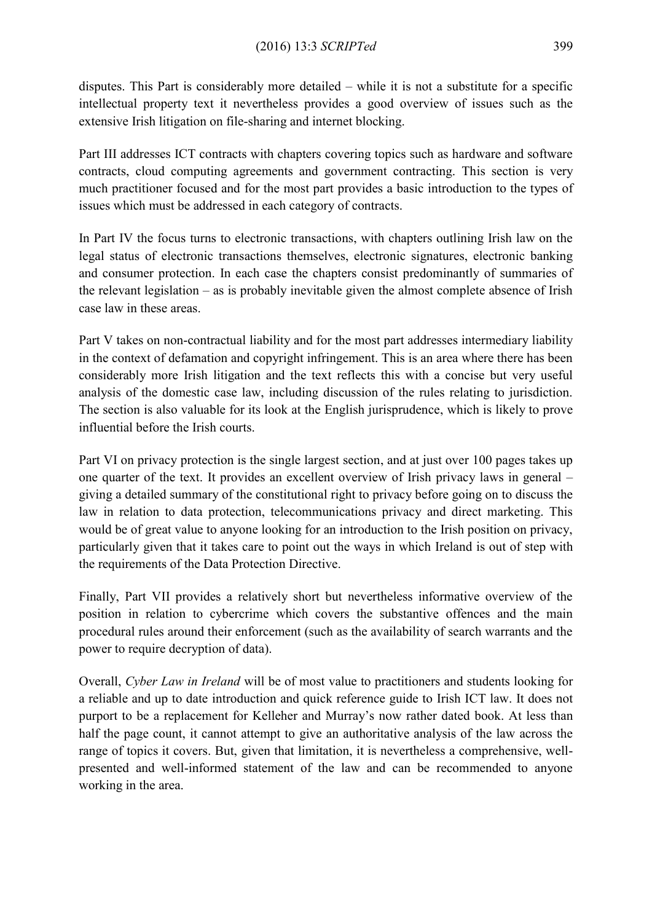disputes. This Part is considerably more detailed – while it is not a substitute for a specific intellectual property text it nevertheless provides a good overview of issues such as the extensive Irish litigation on file-sharing and internet blocking.

Part III addresses ICT contracts with chapters covering topics such as hardware and software contracts, cloud computing agreements and government contracting. This section is very much practitioner focused and for the most part provides a basic introduction to the types of issues which must be addressed in each category of contracts.

In Part IV the focus turns to electronic transactions, with chapters outlining Irish law on the legal status of electronic transactions themselves, electronic signatures, electronic banking and consumer protection. In each case the chapters consist predominantly of summaries of the relevant legislation – as is probably inevitable given the almost complete absence of Irish case law in these areas.

Part V takes on non-contractual liability and for the most part addresses intermediary liability in the context of defamation and copyright infringement. This is an area where there has been considerably more Irish litigation and the text reflects this with a concise but very useful analysis of the domestic case law, including discussion of the rules relating to jurisdiction. The section is also valuable for its look at the English jurisprudence, which is likely to prove influential before the Irish courts.

Part VI on privacy protection is the single largest section, and at just over 100 pages takes up one quarter of the text. It provides an excellent overview of Irish privacy laws in general – giving a detailed summary of the constitutional right to privacy before going on to discuss the law in relation to data protection, telecommunications privacy and direct marketing. This would be of great value to anyone looking for an introduction to the Irish position on privacy, particularly given that it takes care to point out the ways in which Ireland is out of step with the requirements of the Data Protection Directive.

Finally, Part VII provides a relatively short but nevertheless informative overview of the position in relation to cybercrime which covers the substantive offences and the main procedural rules around their enforcement (such as the availability of search warrants and the power to require decryption of data).

Overall, *Cyber Law in Ireland* will be of most value to practitioners and students looking for a reliable and up to date introduction and quick reference guide to Irish ICT law. It does not purport to be a replacement for Kelleher and Murray's now rather dated book. At less than half the page count, it cannot attempt to give an authoritative analysis of the law across the range of topics it covers. But, given that limitation, it is nevertheless a comprehensive, wellpresented and well-informed statement of the law and can be recommended to anyone working in the area.